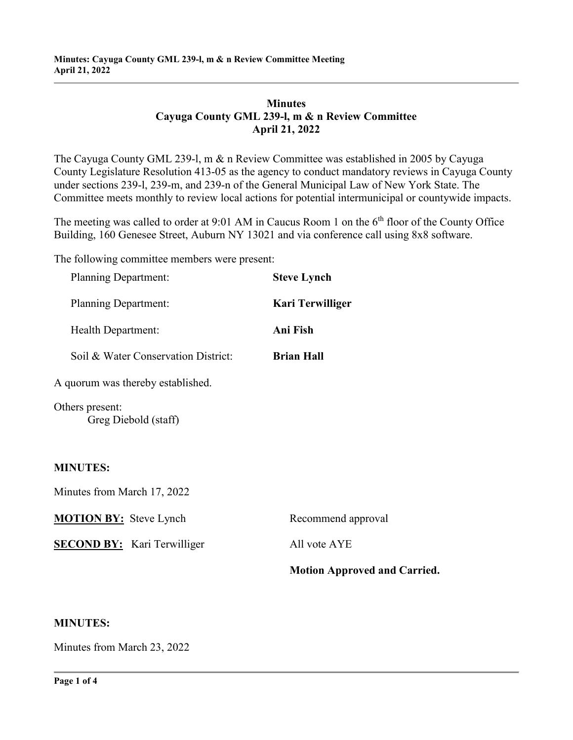## **Minutes Cayuga County GML 239-l, m & n Review Committee April 21, 2022**

The Cayuga County GML 239-l, m & n Review Committee was established in 2005 by Cayuga County Legislature Resolution 413-05 as the agency to conduct mandatory reviews in Cayuga County under sections 239-l, 239-m, and 239-n of the General Municipal Law of New York State. The Committee meets monthly to review local actions for potential intermunicipal or countywide impacts.

The meeting was called to order at 9:01 AM in Caucus Room 1 on the  $6<sup>th</sup>$  floor of the County Office Building, 160 Genesee Street, Auburn NY 13021 and via conference call using 8x8 software.

The following committee members were present:

| <b>Planning Department:</b>             | <b>Steve Lynch</b>                  |
|-----------------------------------------|-------------------------------------|
| <b>Planning Department:</b>             | <b>Kari Terwilliger</b>             |
| Health Department:                      | Ani Fish                            |
| Soil & Water Conservation District:     | <b>Brian Hall</b>                   |
| A quorum was thereby established.       |                                     |
| Others present:<br>Greg Diebold (staff) |                                     |
| <b>MINUTES:</b>                         |                                     |
| Minutes from March 17, 2022             |                                     |
| <b>MOTION BY:</b> Steve Lynch           | Recommend approval                  |
| <b>SECOND BY:</b> Kari Terwilliger      | All vote AYE                        |
|                                         | <b>Motion Approved and Carried.</b> |

#### **MINUTES:**

Minutes from March 23, 2022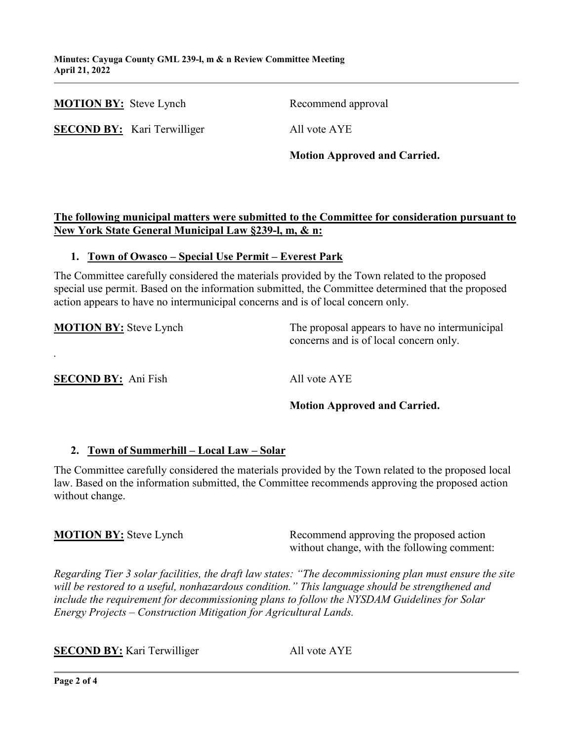|                               |                                    | <b>Motion Approved and Carried.</b> |
|-------------------------------|------------------------------------|-------------------------------------|
|                               | <b>SECOND BY:</b> Kari Terwilliger | All vote AYE                        |
| <b>MOTION BY:</b> Steve Lynch |                                    | Recommend approval                  |

## **The following municipal matters were submitted to the Committee for consideration pursuant to New York State General Municipal Law §239-l, m, & n:**

#### **1. Town of Owasco – Special Use Permit – Everest Park**

The Committee carefully considered the materials provided by the Town related to the proposed special use permit. Based on the information submitted, the Committee determined that the proposed action appears to have no intermunicipal concerns and is of local concern only.

**MOTION BY:** Steve Lynch The proposal appears to have no intermunicipal concerns and is of local concern only.

**SECOND BY:** Ani Fish All vote AYE

*.*

## **Motion Approved and Carried.**

## **2. Town of Summerhill – Local Law – Solar**

The Committee carefully considered the materials provided by the Town related to the proposed local law. Based on the information submitted, the Committee recommends approving the proposed action without change.

**MOTION BY:** Steve Lynch Recommend approving the proposed action without change, with the following comment:

*Regarding Tier 3 solar facilities, the draft law states: "The decommissioning plan must ensure the site will be restored to a useful, nonhazardous condition." This language should be strengthened and include the requirement for decommissioning plans to follow the NYSDAM Guidelines for Solar Energy Projects – Construction Mitigation for Agricultural Lands.*

**SECOND BY:** Kari Terwilliger All vote AYE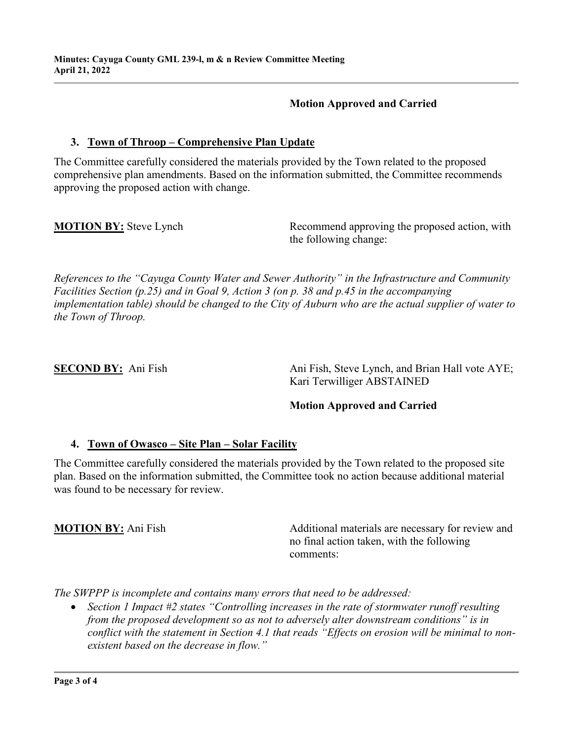### **Motion Approved and Carried**

### **3. Town of Throop – Comprehensive Plan Update**

The Committee carefully considered the materials provided by the Town related to the proposed comprehensive plan amendments. Based on the information submitted, the Committee recommends approving the proposed action with change.

**MOTION BY:** Steve Lynch Recommend approving the proposed action, with the following change:

*References to the "Cayuga County Water and Sewer Authority" in the Infrastructure and Community Facilities Section (p.25) and in Goal 9, Action 3 (on p. 38 and p.45 in the accompanying implementation table) should be changed to the City of Auburn who are the actual supplier of water to the Town of Throop.*

**SECOND BY:** Ani Fish Ani Fish, Steve Lynch, and Brian Hall vote AYE; Kari Terwilliger ABSTAINED

#### **Motion Approved and Carried**

#### **4. Town of Owasco – Site Plan – Solar Facility**

The Committee carefully considered the materials provided by the Town related to the proposed site plan. Based on the information submitted, the Committee took no action because additional material was found to be necessary for review.

**MOTION BY:** Ani Fish Additional materials are necessary for review and no final action taken, with the following comments:

*The SWPPP is incomplete and contains many errors that need to be addressed:*

• *Section 1 Impact #2 states "Controlling increases in the rate of stormwater runoff resulting from the proposed development so as not to adversely alter downstream conditions" is in conflict with the statement in Section 4.1 that reads "Effects on erosion will be minimal to nonexistent based on the decrease in flow."*